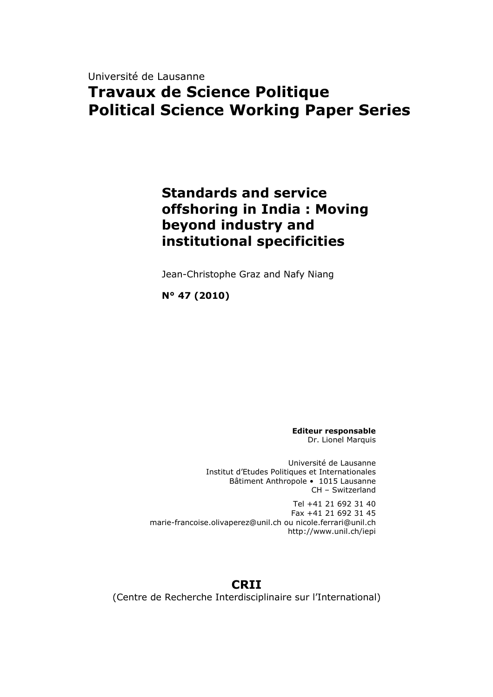Université de Lausanne

# **Travaux de Science Politique Political Science Working Paper Series**

# **Standards and service offshoring in India : Moving beyond industry and institutional specificities**

Jean-Christophe Graz and Nafy Niang

**N° 47 (2010)** 

**Editeur responsable** Dr. Lionel Marquis

Université de Lausanne Institut d'Etudes Politiques et Internationales Bâtiment Anthropole • 1015 Lausanne CH – Switzerland

Tel +41 21 692 31 40 Fax +41 21 692 31 45 marie-francoise.olivaperez@unil.ch ou nicole.ferrari@unil.ch http://www.unil.ch/iepi

#### **CRII**

(Centre de Recherche Interdisciplinaire sur l'International)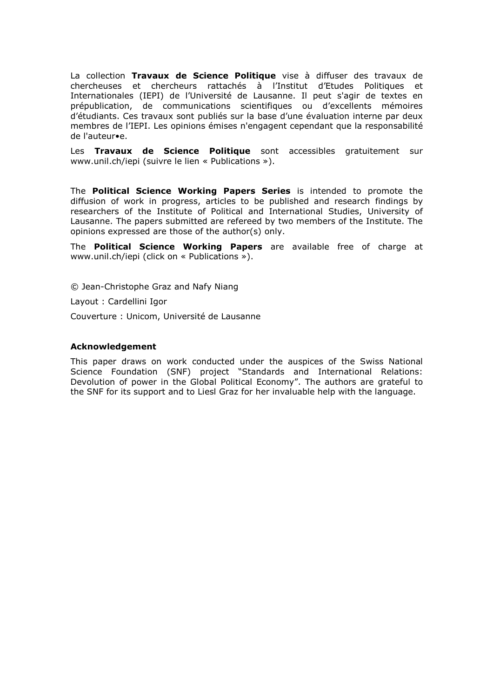La collection **Travaux de Science Politique** vise à diffuser des travaux de chercheuses et chercheurs rattachés à l'Institut d'Etudes Politiques et Internationales (IEPI) de l'Université de Lausanne. Il peut s'agir de textes en prépublication, de communications scientifiques ou d'excellents mémoires d'étudiants. Ces travaux sont publiés sur la base d'une évaluation interne par deux membres de l'IEPI. Les opinions émises n'engagent cependant que la responsabilité de l'auteur•e.

Les **Travaux de Science Politique** sont accessibles gratuitement sur www.unil.ch/iepi (suivre le lien « Publications »).

The **Political Science Working Papers Series** is intended to promote the diffusion of work in progress, articles to be published and research findings by researchers of the Institute of Political and International Studies, University of Lausanne. The papers submitted are refereed by two members of the Institute. The opinions expressed are those of the author(s) only.

The **Political Science Working Papers** are available free of charge at www.unil.ch/iepi (click on « Publications »).

© Jean-Christophe Graz and Nafy Niang

Layout : Cardellini Igor

Couverture : Unicom, Université de Lausanne

#### **Acknowledgement**

This paper draws on work conducted under the auspices of the Swiss National Science Foundation (SNF) project "Standards and International Relations: Devolution of power in the Global Political Economy". The authors are grateful to the SNF for its support and to Liesl Graz for her invaluable help with the language.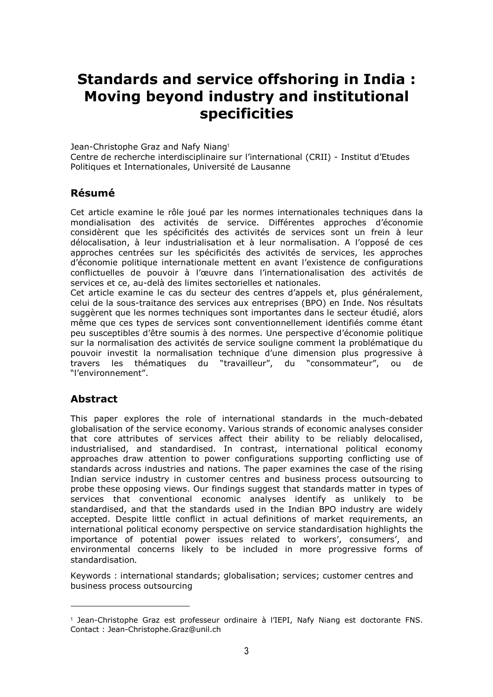# **Standards and service offshoring in India : Moving beyond industry and institutional specificities**

Jean-Christophe Graz and Nafy Niang<sup>1</sup>

Centre de recherche interdisciplinaire sur l'international (CRII) - Institut d'Etudes Politiques et Internationales, Université de Lausanne

#### **Résumé**

Cet article examine le rôle joué par les normes internationales techniques dans la mondialisation des activités de service. Différentes approches d'économie considèrent que les spécificités des activités de services sont un frein à leur délocalisation, à leur industrialisation et à leur normalisation. A l'opposé de ces approches centrées sur les spécificités des activités de services, les approches d'économie politique internationale mettent en avant l'existence de configurations conflictuelles de pouvoir à l'œuvre dans l'internationalisation des activités de services et ce, au-delà des limites sectorielles et nationales.

Cet article examine le cas du secteur des centres d'appels et, plus généralement, celui de la sous-traitance des services aux entreprises (BPO) en Inde. Nos résultats suggèrent que les normes techniques sont importantes dans le secteur étudié, alors même que ces types de services sont conventionnellement identifiés comme étant peu susceptibles d'être soumis à des normes. Une perspective d'économie politique sur la normalisation des activités de service souligne comment la problématique du pouvoir investit la normalisation technique d'une dimension plus progressive à travers les thématiques du "travailleur", du "consommateur", ou de "l'environnement".

#### **Abstract**

ł

This paper explores the role of international standards in the much-debated globalisation of the service economy. Various strands of economic analyses consider that core attributes of services affect their ability to be reliably delocalised, industrialised, and standardised. In contrast, international political economy approaches draw attention to power configurations supporting conflicting use of standards across industries and nations. The paper examines the case of the rising Indian service industry in customer centres and business process outsourcing to probe these opposing views. Our findings suggest that standards matter in types of services that conventional economic analyses identify as unlikely to be standardised, and that the standards used in the Indian BPO industry are widely accepted. Despite little conflict in actual definitions of market requirements, an international political economy perspective on service standardisation highlights the importance of potential power issues related to workers', consumers', and environmental concerns likely to be included in more progressive forms of standardisation*.*

Keywords : international standards; globalisation; services; customer centres and business process outsourcing

<sup>1</sup> Jean-Christophe Graz est professeur ordinaire à l'IEPI, Nafy Niang est doctorante FNS. Contact : Jean-Christophe.Graz@unil.ch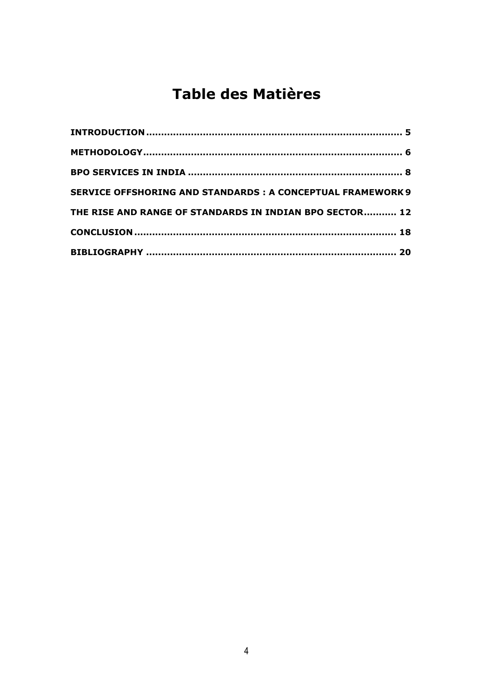# **Table des Matières**

| <b>SERVICE OFFSHORING AND STANDARDS: A CONCEPTUAL FRAMEWORK 9</b> |  |
|-------------------------------------------------------------------|--|
| THE RISE AND RANGE OF STANDARDS IN INDIAN BPO SECTOR 12           |  |
|                                                                   |  |
|                                                                   |  |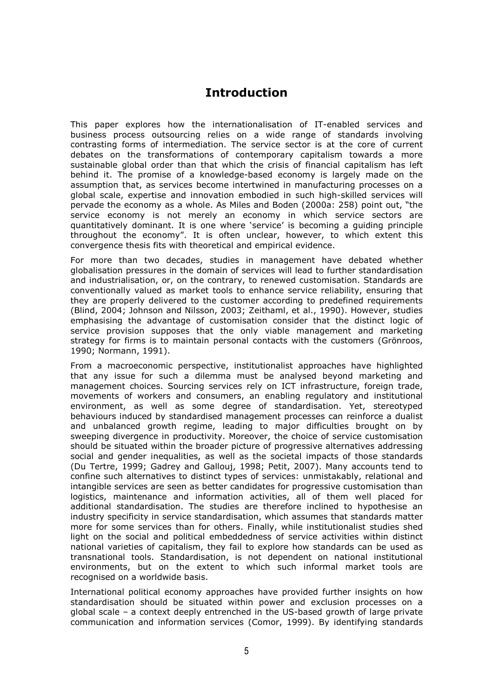## **Introduction**

This paper explores how the internationalisation of IT-enabled services and business process outsourcing relies on a wide range of standards involving contrasting forms of intermediation. The service sector is at the core of current debates on the transformations of contemporary capitalism towards a more sustainable global order than that which the crisis of financial capitalism has left behind it. The promise of a knowledge-based economy is largely made on the assumption that, as services become intertwined in manufacturing processes on a global scale, expertise and innovation embodied in such high-skilled services will pervade the economy as a whole. As Miles and Boden (2000a: 258) point out, "the service economy is not merely an economy in which service sectors are quantitatively dominant. It is one where 'service' is becoming a guiding principle throughout the economy". It is often unclear, however, to which extent this convergence thesis fits with theoretical and empirical evidence.

For more than two decades, studies in management have debated whether globalisation pressures in the domain of services will lead to further standardisation and industrialisation, or, on the contrary, to renewed customisation. Standards are conventionally valued as market tools to enhance service reliability, ensuring that they are properly delivered to the customer according to predefined requirements (Blind, 2004; Johnson and Nilsson, 2003; Zeithaml, et al., 1990). However, studies emphasising the advantage of customisation consider that the distinct logic of service provision supposes that the only viable management and marketing strategy for firms is to maintain personal contacts with the customers (Grönroos, 1990; Normann, 1991).

From a macroeconomic perspective, institutionalist approaches have highlighted that any issue for such a dilemma must be analysed beyond marketing and management choices. Sourcing services rely on ICT infrastructure, foreign trade, movements of workers and consumers, an enabling regulatory and institutional environment, as well as some degree of standardisation. Yet, stereotyped behaviours induced by standardised management processes can reinforce a dualist and unbalanced growth regime, leading to major difficulties brought on by sweeping divergence in productivity. Moreover, the choice of service customisation should be situated within the broader picture of progressive alternatives addressing social and gender inequalities, as well as the societal impacts of those standards (Du Tertre, 1999; Gadrey and Gallouj, 1998; Petit, 2007). Many accounts tend to confine such alternatives to distinct types of services: unmistakably, relational and intangible services are seen as better candidates for progressive customisation than logistics, maintenance and information activities, all of them well placed for additional standardisation. The studies are therefore inclined to hypothesise an industry specificity in service standardisation, which assumes that standards matter more for some services than for others. Finally, while institutionalist studies shed light on the social and political embeddedness of service activities within distinct national varieties of capitalism, they fail to explore how standards can be used as transnational tools. Standardisation, is not dependent on national institutional environments, but on the extent to which such informal market tools are recognised on a worldwide basis.

International political economy approaches have provided further insights on how standardisation should be situated within power and exclusion processes on a global scale – a context deeply entrenched in the US-based growth of large private communication and information services (Comor, 1999). By identifying standards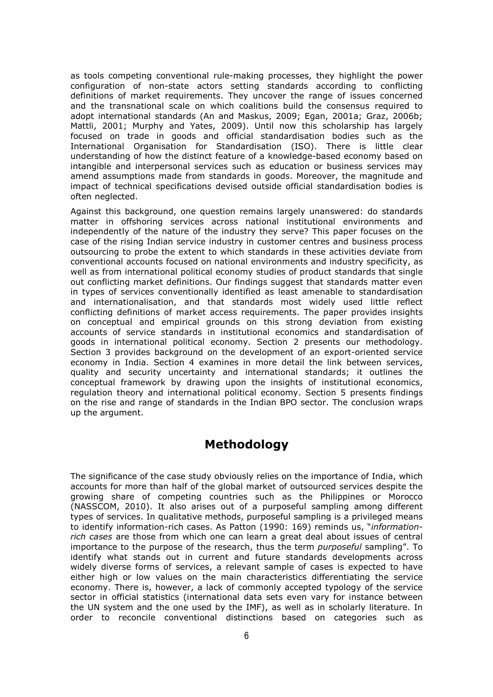as tools competing conventional rule-making processes, they highlight the power configuration of non-state actors setting standards according to conflicting definitions of market requirements. They uncover the range of issues concerned and the transnational scale on which coalitions build the consensus required to adopt international standards (An and Maskus, 2009; Egan, 2001a; Graz, 2006b; Mattli, 2001; Murphy and Yates, 2009). Until now this scholarship has largely focused on trade in goods and official standardisation bodies such as the International Organisation for Standardisation (ISO). There is little clear understanding of how the distinct feature of a knowledge-based economy based on intangible and interpersonal services such as education or business services may amend assumptions made from standards in goods. Moreover, the magnitude and impact of technical specifications devised outside official standardisation bodies is often neglected.

Against this background, one question remains largely unanswered: do standards matter in offshoring services across national institutional environments and independently of the nature of the industry they serve? This paper focuses on the case of the rising Indian service industry in customer centres and business process outsourcing to probe the extent to which standards in these activities deviate from conventional accounts focused on national environments and industry specificity, as well as from international political economy studies of product standards that single out conflicting market definitions. Our findings suggest that standards matter even in types of services conventionally identified as least amenable to standardisation and internationalisation, and that standards most widely used little reflect conflicting definitions of market access requirements. The paper provides insights on conceptual and empirical grounds on this strong deviation from existing accounts of service standards in institutional economics and standardisation of goods in international political economy. Section 2 presents our methodology. Section 3 provides background on the development of an export-oriented service economy in India. Section 4 examines in more detail the link between services, quality and security uncertainty and international standards; it outlines the conceptual framework by drawing upon the insights of institutional economics, regulation theory and international political economy. Section 5 presents findings on the rise and range of standards in the Indian BPO sector. The conclusion wraps up the argument.

#### **Methodology**

The significance of the case study obviously relies on the importance of India, which accounts for more than half of the global market of outsourced services despite the growing share of competing countries such as the Philippines or Morocco (NASSCOM, 2010). It also arises out of a purposeful sampling among different types of services. In qualitative methods, purposeful sampling is a privileged means to identify information-rich cases. As Patton (1990: 169) reminds us, "*informationrich cases* are those from which one can learn a great deal about issues of central importance to the purpose of the research, thus the term *purposeful* sampling". To identify what stands out in current and future standards developments across widely diverse forms of services, a relevant sample of cases is expected to have either high or low values on the main characteristics differentiating the service economy. There is, however, a lack of commonly accepted typology of the service sector in official statistics (international data sets even vary for instance between the UN system and the one used by the IMF), as well as in scholarly literature. In order to reconcile conventional distinctions based on categories such as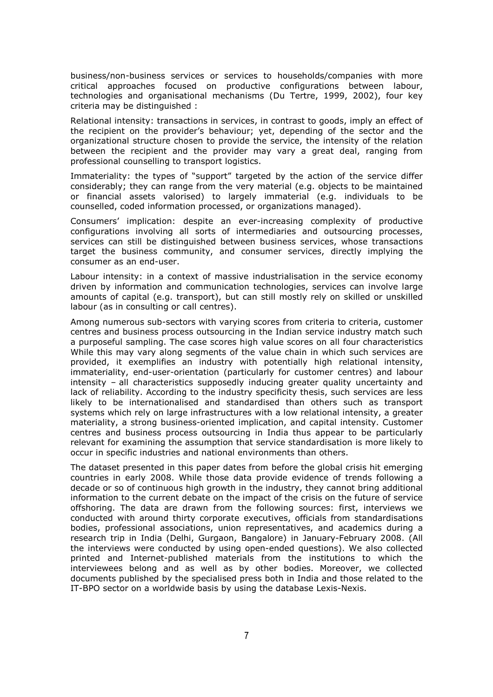business/non-business services or services to households/companies with more critical approaches focused on productive configurations between labour, technologies and organisational mechanisms (Du Tertre, 1999, 2002), four key criteria may be distinguished :

Relational intensity: transactions in services, in contrast to goods, imply an effect of the recipient on the provider's behaviour; yet, depending of the sector and the organizational structure chosen to provide the service, the intensity of the relation between the recipient and the provider may vary a great deal, ranging from professional counselling to transport logistics.

Immateriality: the types of "support" targeted by the action of the service differ considerably; they can range from the very material (e.g. objects to be maintained or financial assets valorised) to largely immaterial (e.g. individuals to be counselled, coded information processed, or organizations managed).

Consumers' implication: despite an ever-increasing complexity of productive configurations involving all sorts of intermediaries and outsourcing processes, services can still be distinguished between business services, whose transactions target the business community, and consumer services, directly implying the consumer as an end-user.

Labour intensity: in a context of massive industrialisation in the service economy driven by information and communication technologies, services can involve large amounts of capital (e.g. transport), but can still mostly rely on skilled or unskilled labour (as in consulting or call centres).

Among numerous sub-sectors with varying scores from criteria to criteria, customer centres and business process outsourcing in the Indian service industry match such a purposeful sampling. The case scores high value scores on all four characteristics While this may vary along segments of the value chain in which such services are provided, it exemplifies an industry with potentially high relational intensity, immateriality, end-user-orientation (particularly for customer centres) and labour intensity – all characteristics supposedly inducing greater quality uncertainty and lack of reliability. According to the industry specificity thesis, such services are less likely to be internationalised and standardised than others such as transport systems which rely on large infrastructures with a low relational intensity, a greater materiality, a strong business-oriented implication, and capital intensity. Customer centres and business process outsourcing in India thus appear to be particularly relevant for examining the assumption that service standardisation is more likely to occur in specific industries and national environments than others.

The dataset presented in this paper dates from before the global crisis hit emerging countries in early 2008. While those data provide evidence of trends following a decade or so of continuous high growth in the industry, they cannot bring additional information to the current debate on the impact of the crisis on the future of service offshoring. The data are drawn from the following sources: first, interviews we conducted with around thirty corporate executives, officials from standardisations bodies, professional associations, union representatives, and academics during a research trip in India (Delhi, Gurgaon, Bangalore) in January-February 2008. (All the interviews were conducted by using open-ended questions). We also collected printed and Internet-published materials from the institutions to which the interviewees belong and as well as by other bodies. Moreover, we collected documents published by the specialised press both in India and those related to the IT-BPO sector on a worldwide basis by using the database Lexis-Nexis.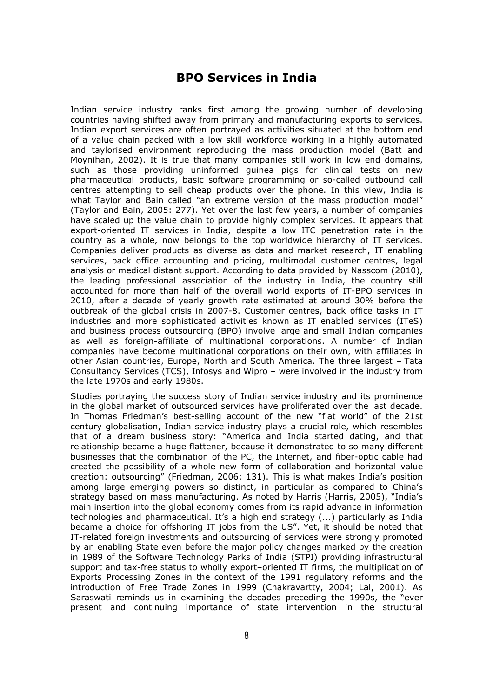#### **BPO Services in India**

Indian service industry ranks first among the growing number of developing countries having shifted away from primary and manufacturing exports to services. Indian export services are often portrayed as activities situated at the bottom end of a value chain packed with a low skill workforce working in a highly automated and taylorised environment reproducing the mass production model (Batt and Moynihan, 2002). It is true that many companies still work in low end domains, such as those providing uninformed guinea pigs for clinical tests on new pharmaceutical products, basic software programming or so-called outbound call centres attempting to sell cheap products over the phone. In this view, India is what Taylor and Bain called "an extreme version of the mass production model" (Taylor and Bain, 2005: 277). Yet over the last few years, a number of companies have scaled up the value chain to provide highly complex services. It appears that export-oriented IT services in India, despite a low ITC penetration rate in the country as a whole, now belongs to the top worldwide hierarchy of IT services. Companies deliver products as diverse as data and market research, IT enabling services, back office accounting and pricing, multimodal customer centres, legal analysis or medical distant support. According to data provided by Nasscom (2010), the leading professional association of the industry in India, the country still accounted for more than half of the overall world exports of IT-BPO services in 2010, after a decade of yearly growth rate estimated at around 30% before the outbreak of the global crisis in 2007-8. Customer centres, back office tasks in IT industries and more sophisticated activities known as IT enabled services (ITeS) and business process outsourcing (BPO) involve large and small Indian companies as well as foreign-affiliate of multinational corporations. A number of Indian companies have become multinational corporations on their own, with affiliates in other Asian countries, Europe, North and South America. The three largest – Tata Consultancy Services (TCS), Infosys and Wipro – were involved in the industry from the late 1970s and early 1980s.

Studies portraying the success story of Indian service industry and its prominence in the global market of outsourced services have proliferated over the last decade. In Thomas Friedman's best-selling account of the new "flat world" of the 21st century globalisation, Indian service industry plays a crucial role, which resembles that of a dream business story: "America and India started dating, and that relationship became a huge flattener, because it demonstrated to so many different businesses that the combination of the PC, the Internet, and fiber-optic cable had created the possibility of a whole new form of collaboration and horizontal value creation: outsourcing" (Friedman, 2006: 131). This is what makes India's position among large emerging powers so distinct, in particular as compared to China's strategy based on mass manufacturing. As noted by Harris (Harris, 2005), "India's main insertion into the global economy comes from its rapid advance in information technologies and pharmaceutical. It's a high end strategy (...) particularly as India became a choice for offshoring IT jobs from the US". Yet, it should be noted that IT-related foreign investments and outsourcing of services were strongly promoted by an enabling State even before the major policy changes marked by the creation in 1989 of the Software Technology Parks of India (STPI) providing infrastructural support and tax-free status to wholly export–oriented IT firms, the multiplication of Exports Processing Zones in the context of the 1991 regulatory reforms and the introduction of Free Trade Zones in 1999 (Chakravartty, 2004; Lal, 2001). As Saraswati reminds us in examining the decades preceding the 1990s, the "ever present and continuing importance of state intervention in the structural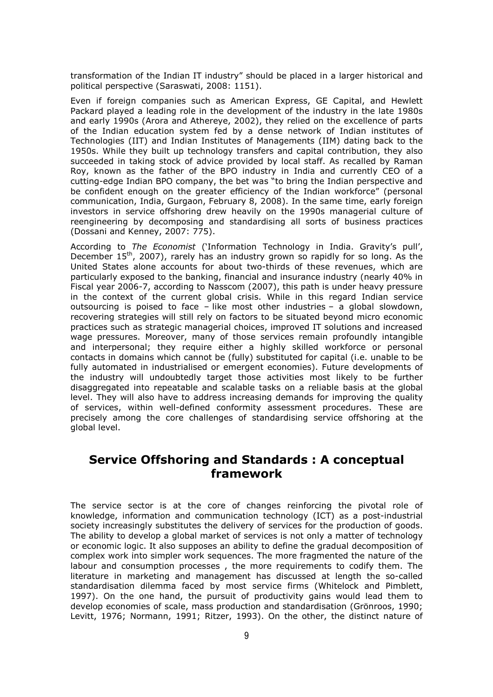transformation of the Indian IT industry" should be placed in a larger historical and political perspective (Saraswati, 2008: 1151).

Even if foreign companies such as American Express, GE Capital, and Hewlett Packard played a leading role in the development of the industry in the late 1980s and early 1990s (Arora and Athereye, 2002), they relied on the excellence of parts of the Indian education system fed by a dense network of Indian institutes of Technologies (IIT) and Indian Institutes of Managements (IIM) dating back to the 1950s. While they built up technology transfers and capital contribution, they also succeeded in taking stock of advice provided by local staff. As recalled by Raman Roy, known as the father of the BPO industry in India and currently CEO of a cutting-edge Indian BPO company, the bet was "to bring the Indian perspective and be confident enough on the greater efficiency of the Indian workforce" (personal communication, India, Gurgaon, February 8, 2008). In the same time, early foreign investors in service offshoring drew heavily on the 1990s managerial culture of reengineering by decomposing and standardising all sorts of business practices (Dossani and Kenney, 2007: 775).

According to *The Economist* ('Information Technology in India. Gravity's pull', December  $15<sup>th</sup>$ , 2007), rarely has an industry grown so rapidly for so long. As the United States alone accounts for about two-thirds of these revenues, which are particularly exposed to the banking, financial and insurance industry (nearly 40% in Fiscal year 2006-7, according to Nasscom (2007), this path is under heavy pressure in the context of the current global crisis. While in this regard Indian service outsourcing is poised to face – like most other industries – a global slowdown, recovering strategies will still rely on factors to be situated beyond micro economic practices such as strategic managerial choices, improved IT solutions and increased wage pressures. Moreover, many of those services remain profoundly intangible and interpersonal; they require either a highly skilled workforce or personal contacts in domains which cannot be (fully) substituted for capital (i.e. unable to be fully automated in industrialised or emergent economies). Future developments of the industry will undoubtedly target those activities most likely to be further disaggregated into repeatable and scalable tasks on a reliable basis at the global level. They will also have to address increasing demands for improving the quality of services, within well-defined conformity assessment procedures. These are precisely among the core challenges of standardising service offshoring at the global level.

### **Service Offshoring and Standards : A conceptual framework**

The service sector is at the core of changes reinforcing the pivotal role of knowledge, information and communication technology (ICT) as a post-industrial society increasingly substitutes the delivery of services for the production of goods. The ability to develop a global market of services is not only a matter of technology or economic logic. It also supposes an ability to define the gradual decomposition of complex work into simpler work sequences. The more fragmented the nature of the labour and consumption processes , the more requirements to codify them. The literature in marketing and management has discussed at length the so-called standardisation dilemma faced by most service firms (Whitelock and Pimblett, 1997). On the one hand, the pursuit of productivity gains would lead them to develop economies of scale, mass production and standardisation (Grönroos, 1990; Levitt, 1976; Normann, 1991; Ritzer, 1993). On the other, the distinct nature of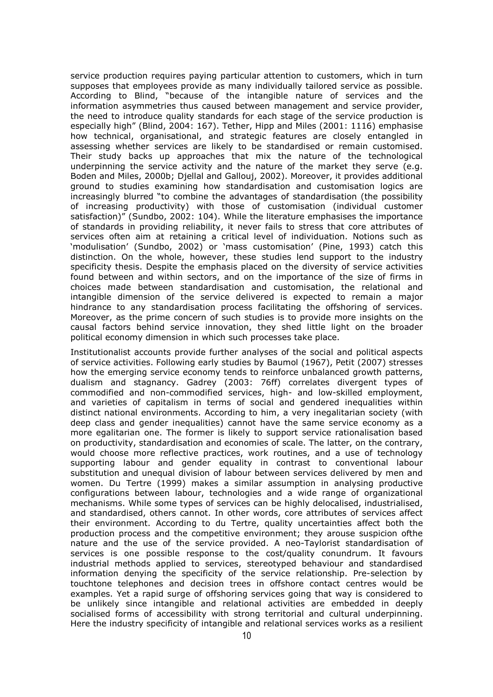service production requires paying particular attention to customers, which in turn supposes that employees provide as many individually tailored service as possible. According to Blind, "because of the intangible nature of services and the information asymmetries thus caused between management and service provider, the need to introduce quality standards for each stage of the service production is especially high" (Blind, 2004: 167). Tether, Hipp and Miles (2001: 1116) emphasise how technical, organisational, and strategic features are closely entangled in assessing whether services are likely to be standardised or remain customised. Their study backs up approaches that mix the nature of the technological underpinning the service activity and the nature of the market they serve (e.g. Boden and Miles, 2000b; Djellal and Gallouj, 2002). Moreover, it provides additional ground to studies examining how standardisation and customisation logics are increasingly blurred "to combine the advantages of standardisation (the possibility of increasing productivity) with those of customisation (individual customer satisfaction)" (Sundbo, 2002: 104). While the literature emphasises the importance of standards in providing reliability, it never fails to stress that core attributes of services often aim at retaining a critical level of individuation. Notions such as 'modulisation' (Sundbo, 2002) or 'mass customisation' (Pine, 1993) catch this distinction. On the whole, however, these studies lend support to the industry specificity thesis. Despite the emphasis placed on the diversity of service activities found between and within sectors, and on the importance of the size of firms in choices made between standardisation and customisation, the relational and intangible dimension of the service delivered is expected to remain a major hindrance to any standardisation process facilitating the offshoring of services. Moreover, as the prime concern of such studies is to provide more insights on the causal factors behind service innovation, they shed little light on the broader political economy dimension in which such processes take place.

Institutionalist accounts provide further analyses of the social and political aspects of service activities. Following early studies by Baumol (1967), Petit (2007) stresses how the emerging service economy tends to reinforce unbalanced growth patterns, dualism and stagnancy. Gadrey (2003: 76ff) correlates divergent types of commodified and non-commodified services, high- and low-skilled employment, and varieties of capitalism in terms of social and gendered inequalities within distinct national environments. According to him, a very inegalitarian society (with deep class and gender inequalities) cannot have the same service economy as a more egalitarian one. The former is likely to support service rationalisation based on productivity, standardisation and economies of scale. The latter, on the contrary, would choose more reflective practices, work routines, and a use of technology supporting labour and gender equality in contrast to conventional labour substitution and unequal division of labour between services delivered by men and women. Du Tertre (1999) makes a similar assumption in analysing productive configurations between labour, technologies and a wide range of organizational mechanisms. While some types of services can be highly delocalised, industrialised, and standardised, others cannot. In other words, core attributes of services affect their environment. According to du Tertre, quality uncertainties affect both the production process and the competitive environment; they arouse suspicion ofthe nature and the use of the service provided. A neo-Taylorist standardisation of services is one possible response to the cost/quality conundrum. It favours industrial methods applied to services, stereotyped behaviour and standardised information denying the specificity of the service relationship. Pre-selection by touchtone telephones and decision trees in offshore contact centres would be examples. Yet a rapid surge of offshoring services going that way is considered to be unlikely since intangible and relational activities are embedded in deeply socialised forms of accessibility with strong territorial and cultural underpinning. Here the industry specificity of intangible and relational services works as a resilient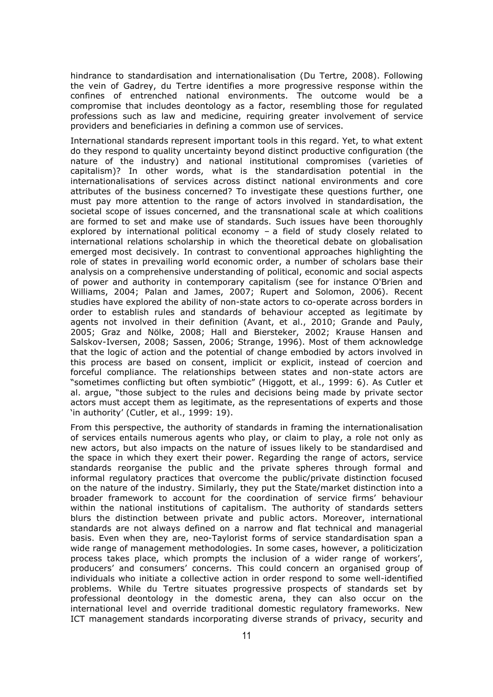hindrance to standardisation and internationalisation (Du Tertre, 2008). Following the vein of Gadrey, du Tertre identifies a more progressive response within the confines of entrenched national environments. The outcome would be a compromise that includes deontology as a factor, resembling those for regulated professions such as law and medicine, requiring greater involvement of service providers and beneficiaries in defining a common use of services.

International standards represent important tools in this regard. Yet, to what extent do they respond to quality uncertainty beyond distinct productive configuration (the nature of the industry) and national institutional compromises (varieties of capitalism)? In other words, what is the standardisation potential in the internationalisations of services across distinct national environments and core attributes of the business concerned? To investigate these questions further, one must pay more attention to the range of actors involved in standardisation, the societal scope of issues concerned, and the transnational scale at which coalitions are formed to set and make use of standards. Such issues have been thoroughly explored by international political economy – a field of study closely related to international relations scholarship in which the theoretical debate on globalisation emerged most decisively. In contrast to conventional approaches highlighting the role of states in prevailing world economic order, a number of scholars base their analysis on a comprehensive understanding of political, economic and social aspects of power and authority in contemporary capitalism (see for instance O'Brien and Williams, 2004; Palan and James, 2007; Rupert and Solomon, 2006). Recent studies have explored the ability of non-state actors to co-operate across borders in order to establish rules and standards of behaviour accepted as legitimate by agents not involved in their definition (Avant, et al., 2010; Grande and Pauly, 2005; Graz and Nölke, 2008; Hall and Biersteker, 2002; Krause Hansen and Salskov-Iversen, 2008; Sassen, 2006; Strange, 1996). Most of them acknowledge that the logic of action and the potential of change embodied by actors involved in this process are based on consent, implicit or explicit, instead of coercion and forceful compliance. The relationships between states and non-state actors are "sometimes conflicting but often symbiotic" (Higgott, et al., 1999: 6). As Cutler et al. argue, "those subject to the rules and decisions being made by private sector actors must accept them as legitimate, as the representations of experts and those 'in authority' (Cutler, et al., 1999: 19).

From this perspective, the authority of standards in framing the internationalisation of services entails numerous agents who play, or claim to play, a role not only as new actors, but also impacts on the nature of issues likely to be standardised and the space in which they exert their power. Regarding the range of actors, service standards reorganise the public and the private spheres through formal and informal regulatory practices that overcome the public/private distinction focused on the nature of the industry. Similarly, they put the State/market distinction into a broader framework to account for the coordination of service firms' behaviour within the national institutions of capitalism. The authority of standards setters blurs the distinction between private and public actors. Moreover, international standards are not always defined on a narrow and flat technical and managerial basis. Even when they are, neo-Taylorist forms of service standardisation span a wide range of management methodologies. In some cases, however, a politicization process takes place, which prompts the inclusion of a wider range of workers', producers' and consumers' concerns. This could concern an organised group of individuals who initiate a collective action in order respond to some well-identified problems. While du Tertre situates progressive prospects of standards set by professional deontology in the domestic arena, they can also occur on the international level and override traditional domestic regulatory frameworks. New ICT management standards incorporating diverse strands of privacy, security and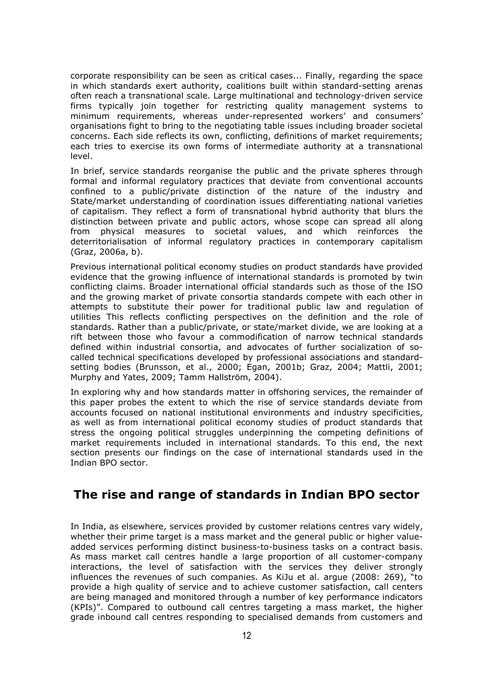corporate responsibility can be seen as critical cases... Finally, regarding the space in which standards exert authority, coalitions built within standard-setting arenas often reach a transnational scale. Large multinational and technology-driven service firms typically join together for restricting quality management systems to minimum requirements, whereas under-represented workers' and consumers' organisations fight to bring to the negotiating table issues including broader societal concerns. Each side reflects its own, conflicting, definitions of market requirements; each tries to exercise its own forms of intermediate authority at a transnational level.

In brief, service standards reorganise the public and the private spheres through formal and informal regulatory practices that deviate from conventional accounts confined to a public/private distinction of the nature of the industry and State/market understanding of coordination issues differentiating national varieties of capitalism. They reflect a form of transnational hybrid authority that blurs the distinction between private and public actors, whose scope can spread all along from physical measures to societal values, and which reinforces the deterritorialisation of informal regulatory practices in contemporary capitalism (Graz, 2006a, b).

Previous international political economy studies on product standards have provided evidence that the growing influence of international standards is promoted by twin conflicting claims. Broader international official standards such as those of the ISO and the growing market of private consortia standards compete with each other in attempts to substitute their power for traditional public law and regulation of utilities This reflects conflicting perspectives on the definition and the role of standards. Rather than a public/private, or state/market divide, we are looking at a rift between those who favour a commodification of narrow technical standards defined within industrial consortia, and advocates of further socialization of socalled technical specifications developed by professional associations and standardsetting bodies (Brunsson, et al., 2000; Egan, 2001b; Graz, 2004; Mattli, 2001; Murphy and Yates, 2009; Tamm Hallström, 2004).

In exploring why and how standards matter in offshoring services, the remainder of this paper probes the extent to which the rise of service standards deviate from accounts focused on national institutional environments and industry specificities, as well as from international political economy studies of product standards that stress the ongoing political struggles underpinning the competing definitions of market requirements included in international standards. To this end, the next section presents our findings on the case of international standards used in the Indian BPO sector.

## **The rise and range of standards in Indian BPO sector**

In India, as elsewhere, services provided by customer relations centres vary widely, whether their prime target is a mass market and the general public or higher valueadded services performing distinct business-to-business tasks on a contract basis. As mass market call centres handle a large proportion of all customer-company interactions, the level of satisfaction with the services they deliver strongly influences the revenues of such companies. As KiJu et al. argue (2008: 269), "to provide a high quality of service and to achieve customer satisfaction, call centers are being managed and monitored through a number of key performance indicators (KPIs)". Compared to outbound call centres targeting a mass market, the higher grade inbound call centres responding to specialised demands from customers and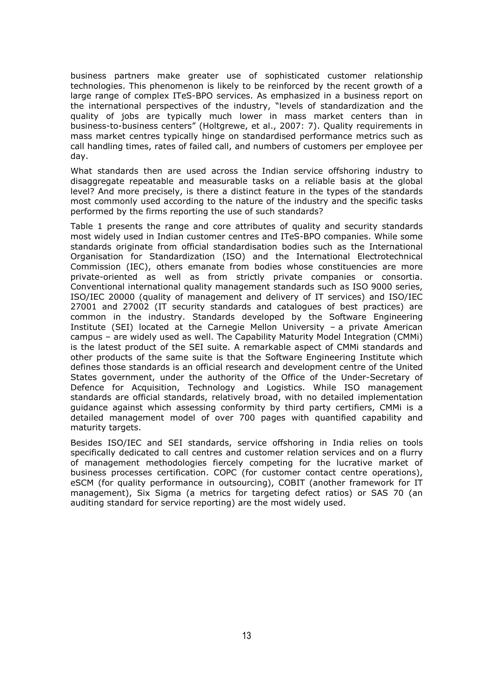business partners make greater use of sophisticated customer relationship technologies. This phenomenon is likely to be reinforced by the recent growth of a large range of complex ITeS-BPO services. As emphasized in a business report on the international perspectives of the industry, "levels of standardization and the quality of jobs are typically much lower in mass market centers than in business-to-business centers" (Holtgrewe, et al., 2007: 7). Quality requirements in mass market centres typically hinge on standardised performance metrics such as call handling times, rates of failed call, and numbers of customers per employee per day.

What standards then are used across the Indian service offshoring industry to disaggregate repeatable and measurable tasks on a reliable basis at the global level? And more precisely, is there a distinct feature in the types of the standards most commonly used according to the nature of the industry and the specific tasks performed by the firms reporting the use of such standards?

Table 1 presents the range and core attributes of quality and security standards most widely used in Indian customer centres and ITeS-BPO companies. While some standards originate from official standardisation bodies such as the International Organisation for Standardization (ISO) and the International Electrotechnical Commission (IEC), others emanate from bodies whose constituencies are more private-oriented as well as from strictly private companies or consortia. Conventional international quality management standards such as ISO 9000 series, ISO/IEC 20000 (quality of management and delivery of IT services) and ISO/IEC 27001 and 27002 (IT security standards and catalogues of best practices) are common in the industry. Standards developed by the Software Engineering Institute (SEI) located at the Carnegie Mellon University – a private American campus – are widely used as well. The Capability Maturity Model Integration (CMMi) is the latest product of the SEI suite. A remarkable aspect of CMMi standards and other products of the same suite is that the Software Engineering Institute which defines those standards is an official research and development centre of the United States government, under the authority of the Office of the Under-Secretary of Defence for Acquisition, Technology and Logistics. While ISO management standards are official standards, relatively broad, with no detailed implementation guidance against which assessing conformity by third party certifiers, CMMi is a detailed management model of over 700 pages with quantified capability and maturity targets.

Besides ISO/IEC and SEI standards, service offshoring in India relies on tools specifically dedicated to call centres and customer relation services and on a flurry of management methodologies fiercely competing for the lucrative market of business processes certification. COPC (for customer contact centre operations), eSCM (for quality performance in outsourcing), COBIT (another framework for IT management), Six Sigma (a metrics for targeting defect ratios) or SAS 70 (an auditing standard for service reporting) are the most widely used.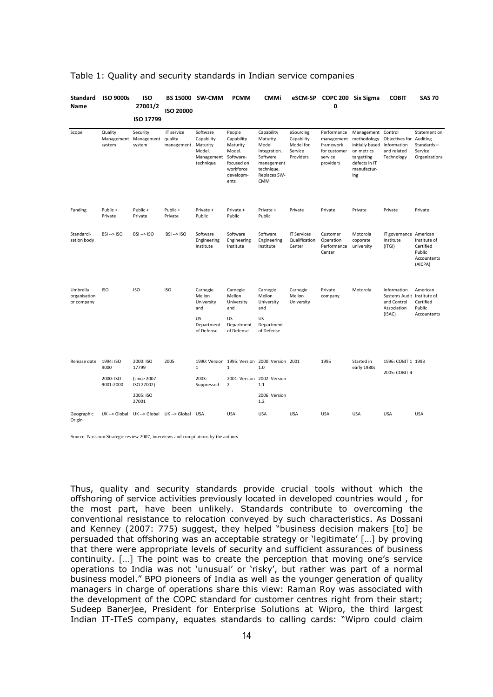| Standard<br>Name                       | <b>ISO 9000s</b>                            | <b>ISO</b><br>27001/2<br><b>ISO 17799</b>                             | <b>BS 15000</b><br><b>ISO 20000</b> | SW-CMM                                                                    | <b>PCMM</b>                                                                                             | CMMi                                                                                                                | eSCM-SP                                                      | 0                                                                              | COPC 200 Six Sigma                                                                                              | <b>COBIT</b>                                                                      | <b>SAS 70</b>                                                 |
|----------------------------------------|---------------------------------------------|-----------------------------------------------------------------------|-------------------------------------|---------------------------------------------------------------------------|---------------------------------------------------------------------------------------------------------|---------------------------------------------------------------------------------------------------------------------|--------------------------------------------------------------|--------------------------------------------------------------------------------|-----------------------------------------------------------------------------------------------------------------|-----------------------------------------------------------------------------------|---------------------------------------------------------------|
| Scope                                  | Quality<br>Management<br>system             | Security<br>Management<br>system                                      | IT service<br>quality<br>management | Software<br>Capability<br>Maturity<br>Model.<br>Management<br>technique   | People<br>Capability<br>Maturity<br>Model.<br>Software-<br>focused on<br>workforce<br>developm-<br>ents | Capability<br>Maturity<br>Model<br>Integration.<br>Software<br>management<br>technique.<br>Replaces SW-<br>CMM      | eSourcing<br>Capability<br>Model for<br>Service<br>Providers | Performance<br>management<br>framework<br>for customer<br>service<br>providers | Management<br>methodology<br>initially based<br>on metrics<br>targetting<br>defects in IT<br>manufactur-<br>ing | Control<br>Objectives for Auditing<br>Information<br>and related<br>Technology    | Statement on<br>Standards-<br>Service<br>Organizations        |
| Funding                                | Public +<br>Private                         | Public +<br>Private                                                   | Public +<br>Private                 | Private +<br>Public                                                       | Private +<br>Public                                                                                     | Private +<br>Public                                                                                                 | Private                                                      | Private                                                                        | Private                                                                                                         | Private                                                                           | Private                                                       |
| Standardi-<br>sation body              | $BSI \rightarrow ISO$                       | $BSI \rightarrow ISO$                                                 | $BSI \rightarrow ISO$               | Software<br>Engineering<br>Institute                                      | Software<br>Engineering<br>Institute                                                                    | Software<br>Engineering<br>Institute                                                                                | <b>IT Services</b><br>Qualification<br>Center                | Customer<br>Operation<br>Performance<br>Center                                 | Motorola<br>coporate<br>university                                                                              | IT governance American<br>Institute<br>(ITGI)                                     | Institute of<br>Certified<br>Public<br>Accountants<br>(AICPA) |
| Umbrella<br>organisation<br>or company | <b>ISO</b>                                  | <b>ISO</b>                                                            | <b>ISO</b>                          | Carnegie<br>Mellon<br>University<br>and<br>US<br>Department<br>of Defense | Carnegie<br>Mellon<br>University<br>and<br>US<br>Department<br>of Defense                               | Carnegie<br>Mellon<br>University<br>and<br>US<br>Department<br>of Defense                                           | Carnegie<br>Mellon<br>University                             | Private<br>company                                                             | Motorola                                                                                                        | Information<br>Systems Audit Institute of<br>and Control<br>Association<br>(ISAC) | American<br>Certified<br>Public<br>Accountants                |
| Release date                           | 1994: ISO<br>9000<br>2000: ISO<br>9001:2000 | 2000: ISO<br>17799<br>(since 2007<br>ISO 27002)<br>2005: ISO<br>27001 | 2005                                | $\mathbf 1$<br>2003:<br>Suppressed                                        | 1<br>2                                                                                                  | 1990: Version 1995: Version 2000: Version 2001<br>1.0<br>2001: Version 2002: Version<br>1.1<br>2006: Version<br>1.2 |                                                              | 1995                                                                           | Started in<br>early 1980s                                                                                       | 1996: COBIT 1 1993<br>2005: COBIT 4                                               |                                                               |
| Geographic<br>Origin                   | UK --> Global                               |                                                                       | UK--> Global UK--> Global           | USA                                                                       | <b>USA</b>                                                                                              | <b>USA</b>                                                                                                          | <b>USA</b>                                                   | <b>USA</b>                                                                     | <b>USA</b>                                                                                                      | <b>USA</b>                                                                        | <b>USA</b>                                                    |

#### Table 1: Quality and security standards in Indian service companies

Source: Nasscom Strategic review 2007, interviews and compilations by the authors.

Thus, quality and security standards provide crucial tools without which the offshoring of service activities previously located in developed countries would , for the most part, have been unlikely. Standards contribute to overcoming the conventional resistance to relocation conveyed by such characteristics. As Dossani and Kenney (2007: 775) suggest, they helped "business decision makers [to] be persuaded that offshoring was an acceptable strategy or 'legitimate' […] by proving that there were appropriate levels of security and sufficient assurances of business continuity. […] The point was to create the perception that moving one's service operations to India was not 'unusual' or 'risky', but rather was part of a normal business model." BPO pioneers of India as well as the younger generation of quality managers in charge of operations share this view: Raman Roy was associated with the development of the COPC standard for customer centres right from their start; Sudeep Banerjee, President for Enterprise Solutions at Wipro, the third largest Indian IT-ITeS company, equates standards to calling cards: "Wipro could claim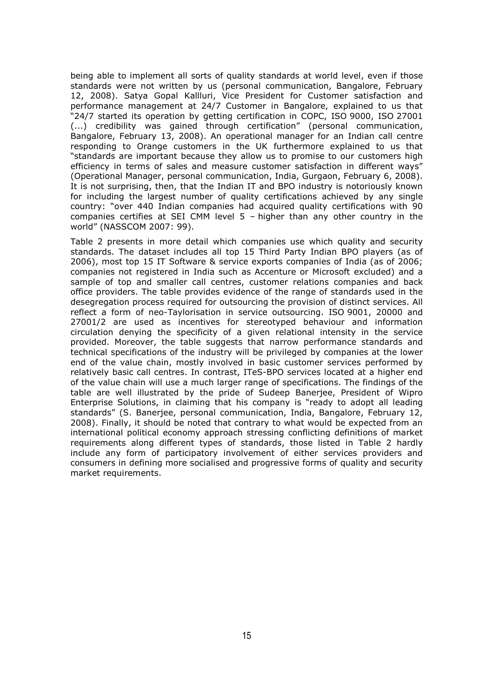being able to implement all sorts of quality standards at world level, even if those standards were not written by us (personal communication, Bangalore, February 12, 2008). Satya Gopal Kallluri, Vice President for Customer satisfaction and performance management at 24/7 Customer in Bangalore, explained to us that "24/7 started its operation by getting certification in COPC, ISO 9000, ISO 27001 (...) credibility was gained through certification" (personal communication, Bangalore, February 13, 2008). An operational manager for an Indian call centre responding to Orange customers in the UK furthermore explained to us that "standards are important because they allow us to promise to our customers high efficiency in terms of sales and measure customer satisfaction in different ways" (Operational Manager, personal communication, India, Gurgaon, February 6, 2008). It is not surprising, then, that the Indian IT and BPO industry is notoriously known for including the largest number of quality certifications achieved by any single country: "over 440 Indian companies had acquired quality certifications with 90 companies certifies at SEI CMM level  $5$  – higher than any other country in the world" (NASSCOM 2007: 99).

Table 2 presents in more detail which companies use which quality and security standards. The dataset includes all top 15 Third Party Indian BPO players (as of 2006), most top 15 IT Software & service exports companies of India (as of 2006; companies not registered in India such as Accenture or Microsoft excluded) and a sample of top and smaller call centres, customer relations companies and back office providers. The table provides evidence of the range of standards used in the desegregation process required for outsourcing the provision of distinct services. All reflect a form of neo-Taylorisation in service outsourcing. ISO 9001, 20000 and 27001/2 are used as incentives for stereotyped behaviour and information circulation denying the specificity of a given relational intensity in the service provided. Moreover, the table suggests that narrow performance standards and technical specifications of the industry will be privileged by companies at the lower end of the value chain, mostly involved in basic customer services performed by relatively basic call centres. In contrast, ITeS-BPO services located at a higher end of the value chain will use a much larger range of specifications. The findings of the table are well illustrated by the pride of Sudeep Banerjee, President of Wipro Enterprise Solutions, in claiming that his company is "ready to adopt all leading standards" (S. Banerjee, personal communication, India, Bangalore, February 12, 2008). Finally, it should be noted that contrary to what would be expected from an international political economy approach stressing conflicting definitions of market requirements along different types of standards, those listed in Table 2 hardly include any form of participatory involvement of either services providers and consumers in defining more socialised and progressive forms of quality and security market requirements.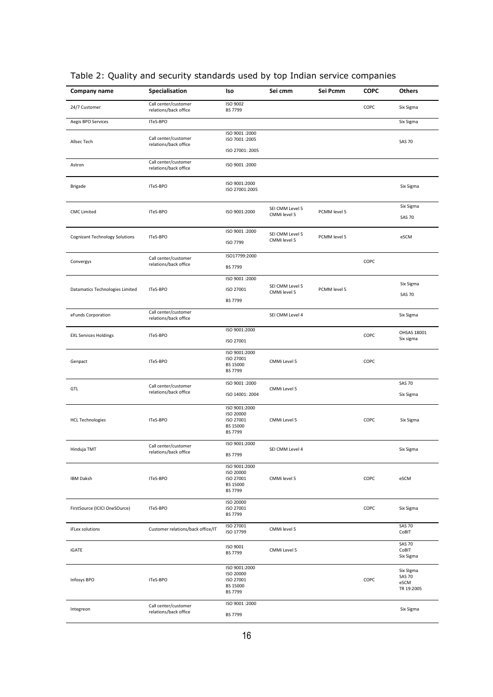| Company name                          | Specialisation                                | lso                                                                   | Sei cmm                         | Sei Pcmm     | <b>COPC</b> | Others                                           |
|---------------------------------------|-----------------------------------------------|-----------------------------------------------------------------------|---------------------------------|--------------|-------------|--------------------------------------------------|
| 24/7 Customer                         | Call center/customer<br>relations/back office | ISO 9002<br>BS 7799                                                   |                                 |              | COPC        | Six Sigma                                        |
| Aegis BPO Services                    | ITeS-BPO                                      |                                                                       |                                 |              |             | Six Sigma                                        |
| Allsec Tech                           | Call center/customer<br>relations/back office | ISO 9001:2000<br>ISO 7001:2005<br>ISO 27001: 2005                     |                                 |              |             | <b>SAS 70</b>                                    |
| Astron                                | Call center/customer<br>relations/back office | ISO 9001:2000                                                         |                                 |              |             |                                                  |
| Brigade                               | ITeS-BPO                                      | ISO 9001:2000<br>ISO 27001:2005                                       |                                 |              |             | Six Sigma                                        |
| <b>CMC Limited</b>                    | ITeS-BPO                                      | ISO 9001:2000                                                         | SEI CMM Level 5<br>CMMi level 5 | PCMM level 5 |             | Six Sigma<br><b>SAS 70</b>                       |
| <b>Cognizant Technology Solutions</b> | ITeS-BPO                                      | ISO 9001:2000<br>ISO 7799                                             | SEI CMM Level 5<br>CMMi level 5 | PCMM level 5 |             | eSCM                                             |
| Convergys                             | Call center/customer                          | ISO17799:2000                                                         |                                 |              | COPC        |                                                  |
|                                       | relations/back office                         | BS 7799                                                               |                                 |              |             |                                                  |
|                                       |                                               | ISO 9001:2000                                                         | SEI CMM Level 5                 |              |             | Six Sigma                                        |
| Datamatics Technologies Limited       | ITeS-BPO                                      | ISO 27001                                                             | CMMi level 5                    | PCMM level 5 |             | <b>SAS 70</b>                                    |
|                                       |                                               | BS 7799                                                               |                                 |              |             |                                                  |
| eFunds Corporation                    | Call center/customer<br>relations/back office |                                                                       | SEI CMM Level 4                 |              |             | Six Sigma                                        |
| <b>EXL Services Holdings</b>          | ITeS-BPO                                      | ISO 9001:2000                                                         |                                 |              | COPC        | OHSAS 18001                                      |
|                                       |                                               | ISO 27001                                                             |                                 |              |             | Six sigma                                        |
| Genpact                               | ITeS-BPO                                      | ISO 9001:2000<br>ISO 27001<br>BS 15000<br>BS 7799                     | CMMi Level 5                    |              | COPC        |                                                  |
|                                       | Call center/customer                          | ISO 9001:2000                                                         | CMMi Level 5                    |              |             | <b>SAS 70</b>                                    |
| GTL                                   | relations/back office                         | ISO 14001: 2004                                                       |                                 |              |             | Six Sigma                                        |
| <b>HCL Technologies</b>               | ITeS-BPO                                      | ISO 9001:2000<br>ISO 20000<br>ISO 27001<br>BS 15000<br>BS 7799        | CMMi Level 5                    |              | COPC        | Six Sigma                                        |
| Hinduja TMT                           | Call center/customer<br>relations/back office | ISO 9001:2000<br>BS 7799                                              | SEI CMM Level 4                 |              |             | Six Sigma                                        |
| <b>IBM Daksh</b>                      | ITeS-BPO                                      | ISO 9001:2000<br>ISO 20000<br>ISO 27001<br>BS 15000<br>BS 7799        | CMMi level 5                    |              | COPC        | eSCM                                             |
| FirstSource (ICICI OneSOurce)         | ITeS-BPO                                      | ISO 20000<br>ISO 27001<br>BS 7799                                     |                                 |              | COPC        | Six Sigma                                        |
| iFLex solutions                       | Customer relations/back office/IT             | ISO 27001<br>ISO 17799                                                | CMMi level 5                    |              |             | <b>SAS 70</b><br>CoBIT                           |
| <b>iGATE</b>                          |                                               | ISO 9001<br>BS 7799                                                   | CMMi Level 5                    |              |             | <b>SAS 70</b><br>CoBIT<br>Six Sigma              |
| <b>Infosys BPO</b>                    | ITeS-BPO                                      | ISO 9001:2000<br>ISO 20000<br>ISO 27001<br>BS 15000<br><b>BS 7799</b> |                                 |              | COPC        | Six SIgma<br><b>SAS 70</b><br>eSCM<br>TR 19:2005 |
| Integreon                             | Call center/customer<br>relations/back office | ISO 9001:2000<br>BS 7799                                              |                                 |              |             | Six Sigma                                        |

| Table 2: Quality and security standards used by top Indian service companies |  |  |  |
|------------------------------------------------------------------------------|--|--|--|
|                                                                              |  |  |  |
|                                                                              |  |  |  |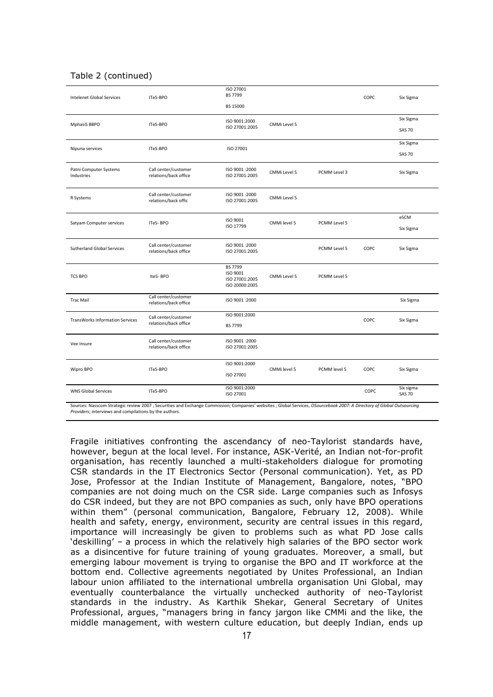|  |  |  | Table 2 (continued) |
|--|--|--|---------------------|
|--|--|--|---------------------|

| <b>Intelenet Global Services</b>       | ITeS-BPO                                      | ISO 27001<br><b>BS 7799</b><br>BS 15000                        |              |              | COPC | Six Sigma                  |
|----------------------------------------|-----------------------------------------------|----------------------------------------------------------------|--------------|--------------|------|----------------------------|
| MphasiS BBPO                           | ITeS-BPO                                      | ISO 9001:2000<br>ISO 27001:2005                                | CMMi Level 5 |              |      | Six Sigma<br><b>SAS 70</b> |
| Nipuna services                        | ITeS-BPO                                      | ISO 27001                                                      |              |              |      | Six Sigma<br><b>SAS 70</b> |
| Patni Computer Systems<br>Industries   | Call center/customer<br>relations/back office | ISO 9001:2000<br>ISO 27001:2005                                | CMMi Level 5 | PCMM Level 3 |      | Six Sigma                  |
| R Systems                              | Call center/customer<br>relations/back offic  | ISO 9001:2000<br>ISO 27001:2005                                | CMMi Level 5 |              |      |                            |
| Satyam Computer services               | ITeS-BPO                                      | ISO 9001<br>ISO 17799                                          | CMMi level 5 | PCMM Level 5 |      | eSCM<br>Six Sigma          |
| <b>Sutherland Global Services</b>      | Call center/customer<br>relations/back office | ISO 9001:2000<br>ISO 27001:2005                                |              | PCMM Level 5 | COPC | Six Sigma                  |
| <b>TCS BPO</b>                         | IteS-BPO                                      | <b>BS 7799</b><br>ISO 9001<br>ISO 27001:2005<br>ISO 20000:2005 | CMMi Level 5 | PCMM Level 5 |      |                            |
| <b>Trac Mail</b>                       | Call center/customer<br>relations/back office | ISO 9001:2000                                                  |              |              |      | Six Sigma                  |
| <b>TransWorks Information Services</b> | Call center/customer<br>relations/back office | ISO 9001:2000<br><b>BS 7799</b>                                |              |              | COPC | Six Sigma                  |
| Vee Insure                             | Call center/customer<br>relations/back office | ISO 9001:2000<br>ISO 27001:2005                                |              |              |      |                            |
| Wipro BPO                              | ITeS-BPO                                      | ISO 9001:2000<br>ISO 27001                                     | CMMi level 5 | PCMM level 5 | COPC | Six Sigma                  |
| <b>WNS Global Services</b>             | ITeS-BPO                                      | ISO 9001:2000<br>ISO 27001                                     |              |              | COPC | Six sigma<br><b>SAS 70</b> |

Sources: Nasscom Strategic review 2007 ; Securities and Exchange Commission; Companies' websites ; Global Services, *OSourcebook 2007: A Directory of Global Outsourcing Providers*; interviews and compilations by the authors.

Fragile initiatives confronting the ascendancy of neo-Taylorist standards have, however, begun at the local level. For instance, ASK-Verité, an Indian not-for-profit organisation, has recently launched a multi-stakeholders dialogue for promoting CSR standards in the IT Electronics Sector (Personal communication). Yet, as PD Jose, Professor at the Indian Institute of Management, Bangalore, notes, "BPO companies are not doing much on the CSR side. Large companies such as Infosys do CSR indeed, but they are not BPO companies as such, only have BPO operations within them" (personal communication, Bangalore, February 12, 2008). While health and safety, energy, environment, security are central issues in this regard, importance will increasingly be given to problems such as what PD Jose calls 'deskilling' – a process in which the relatively high salaries of the BPO sector work as a disincentive for future training of young graduates. Moreover, a small, but emerging labour movement is trying to organise the BPO and IT workforce at the bottom end. Collective agreements negotiated by Unites Professional, an Indian labour union affiliated to the international umbrella organisation Uni Global, may eventually counterbalance the virtually unchecked authority of neo-Taylorist standards in the industry. As Karthik Shekar, General Secretary of Unites Professional, argues, "managers bring in fancy jargon like CMMi and the like, the middle management, with western culture education, but deeply Indian, ends up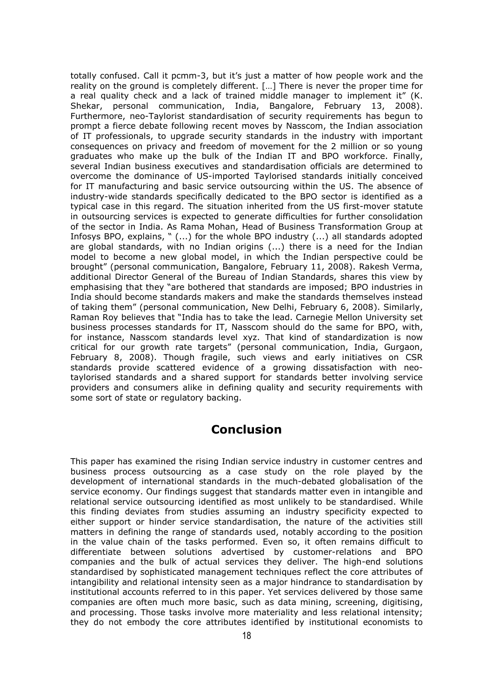totally confused. Call it pcmm-3, but it's just a matter of how people work and the reality on the ground is completely different. […] There is never the proper time for a real quality check and a lack of trained middle manager to implement it" (K. Shekar, personal communication, India, Bangalore, February 13, 2008). Furthermore, neo-Taylorist standardisation of security requirements has begun to prompt a fierce debate following recent moves by Nasscom, the Indian association of IT professionals, to upgrade security standards in the industry with important consequences on privacy and freedom of movement for the 2 million or so young graduates who make up the bulk of the Indian IT and BPO workforce. Finally, several Indian business executives and standardisation officials are determined to overcome the dominance of US-imported Taylorised standards initially conceived for IT manufacturing and basic service outsourcing within the US. The absence of industry-wide standards specifically dedicated to the BPO sector is identified as a typical case in this regard. The situation inherited from the US first-mover statute in outsourcing services is expected to generate difficulties for further consolidation of the sector in India. As Rama Mohan, Head of Business Transformation Group at Infosys BPO, explains, " (...) for the whole BPO industry (...) all standards adopted are global standards, with no Indian origins (...) there is a need for the Indian model to become a new global model, in which the Indian perspective could be brought" (personal communication, Bangalore, February 11, 2008). Rakesh Verma, additional Director General of the Bureau of Indian Standards, shares this view by emphasising that they "are bothered that standards are imposed; BPO industries in India should become standards makers and make the standards themselves instead of taking them" (personal communication, New Delhi, February 6, 2008). Similarly, Raman Roy believes that "India has to take the lead. Carnegie Mellon University set business processes standards for IT, Nasscom should do the same for BPO, with, for instance, Nasscom standards level xyz. That kind of standardization is now critical for our growth rate targets" (personal communication, India, Gurgaon, February 8, 2008). Though fragile, such views and early initiatives on CSR standards provide scattered evidence of a growing dissatisfaction with neotaylorised standards and a shared support for standards better involving service providers and consumers alike in defining quality and security requirements with some sort of state or regulatory backing.

#### **Conclusion**

This paper has examined the rising Indian service industry in customer centres and business process outsourcing as a case study on the role played by the development of international standards in the much-debated globalisation of the service economy. Our findings suggest that standards matter even in intangible and relational service outsourcing identified as most unlikely to be standardised. While this finding deviates from studies assuming an industry specificity expected to either support or hinder service standardisation, the nature of the activities still matters in defining the range of standards used, notably according to the position in the value chain of the tasks performed. Even so, it often remains difficult to differentiate between solutions advertised by customer-relations and BPO companies and the bulk of actual services they deliver. The high-end solutions standardised by sophisticated management techniques reflect the core attributes of intangibility and relational intensity seen as a major hindrance to standardisation by institutional accounts referred to in this paper. Yet services delivered by those same companies are often much more basic, such as data mining, screening, digitising, and processing. Those tasks involve more materiality and less relational intensity; they do not embody the core attributes identified by institutional economists to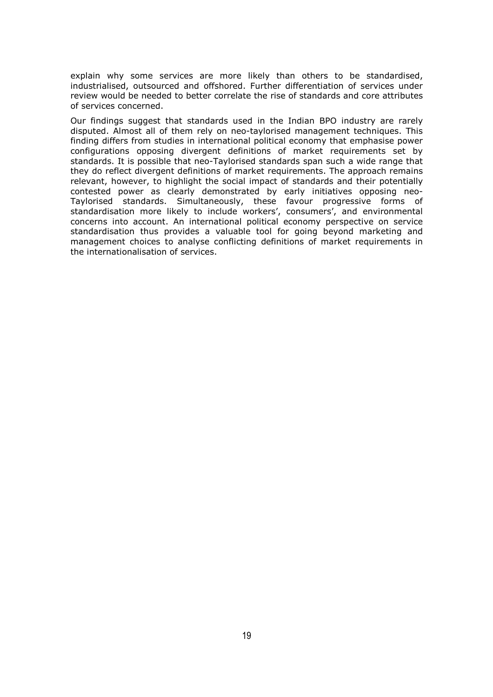explain why some services are more likely than others to be standardised, industrialised, outsourced and offshored. Further differentiation of services under review would be needed to better correlate the rise of standards and core attributes of services concerned.

Our findings suggest that standards used in the Indian BPO industry are rarely disputed. Almost all of them rely on neo-taylorised management techniques. This finding differs from studies in international political economy that emphasise power configurations opposing divergent definitions of market requirements set by standards. It is possible that neo-Taylorised standards span such a wide range that they do reflect divergent definitions of market requirements. The approach remains relevant, however, to highlight the social impact of standards and their potentially contested power as clearly demonstrated by early initiatives opposing neo-Taylorised standards. Simultaneously, these favour progressive forms of standardisation more likely to include workers', consumers', and environmental concerns into account. An international political economy perspective on service standardisation thus provides a valuable tool for going beyond marketing and management choices to analyse conflicting definitions of market requirements in the internationalisation of services.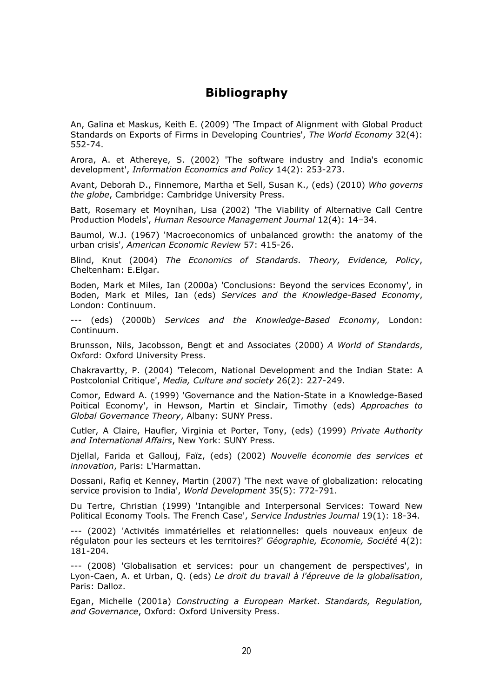## **Bibliography**

An, Galina et Maskus, Keith E. (2009) 'The Impact of Alignment with Global Product Standards on Exports of Firms in Developing Countries', *The World Economy* 32(4): 552-74.

Arora, A. et Athereye, S. (2002) 'The software industry and India's economic development', *Information Economics and Policy* 14(2): 253-273.

Avant, Deborah D., Finnemore, Martha et Sell, Susan K., (eds) (2010) *Who governs the globe*, Cambridge: Cambridge University Press.

Batt, Rosemary et Moynihan, Lisa (2002) 'The Viability of Alternative Call Centre Production Models', *Human Resource Management Journal* 12(4): 14–34.

Baumol, W.J. (1967) 'Macroeconomics of unbalanced growth: the anatomy of the urban crisis', *American Economic Review* 57: 415-26.

Blind, Knut (2004) *The Economics of Standards*. *Theory, Evidence, Policy*, Cheltenham: E.Elgar.

Boden, Mark et Miles, Ian (2000a) 'Conclusions: Beyond the services Economy', in Boden, Mark et Miles, Ian (eds) *Services and the Knowledge-Based Economy*, London: Continuum.

--- (eds) (2000b) *Services and the Knowledge-Based Economy*, London: Continuum.

Brunsson, Nils, Jacobsson, Bengt et and Associates (2000) *A World of Standards*, Oxford: Oxford University Press.

Chakravartty, P. (2004) 'Telecom, National Development and the Indian State: A Postcolonial Critique', *Media, Culture and society* 26(2): 227-249.

Comor, Edward A. (1999) 'Governance and the Nation-State in a Knowledge-Based Poitical Economy', in Hewson, Martin et Sinclair, Timothy (eds) *Approaches to Global Governance Theory*, Albany: SUNY Press.

Cutler, A Claire, Haufler, Virginia et Porter, Tony, (eds) (1999) *Private Authority and International Affairs*, New York: SUNY Press.

Djellal, Farida et Gallouj, Faïz, (eds) (2002) *Nouvelle économie des services et innovation*, Paris: L'Harmattan.

Dossani, Rafiq et Kenney, Martin (2007) 'The next wave of globalization: relocating service provision to India', *World Development* 35(5): 772-791.

Du Tertre, Christian (1999) 'Intangible and Interpersonal Services: Toward New Political Economy Tools. The French Case', *Service Industries Journal* 19(1): 18-34.

--- (2002) 'Activités immatérielles et relationnelles: quels nouveaux enjeux de régulaton pour les secteurs et les territoires?' *Géographie, Economie, Société* 4(2): 181-204.

--- (2008) 'Globalisation et services: pour un changement de perspectives', in Lyon-Caen, A. et Urban, Q. (eds) *Le droit du travail à l'épreuve de la globalisation*, Paris: Dalloz.

Egan, Michelle (2001a) *Constructing a European Market*. *Standards, Regulation, and Governance*, Oxford: Oxford University Press.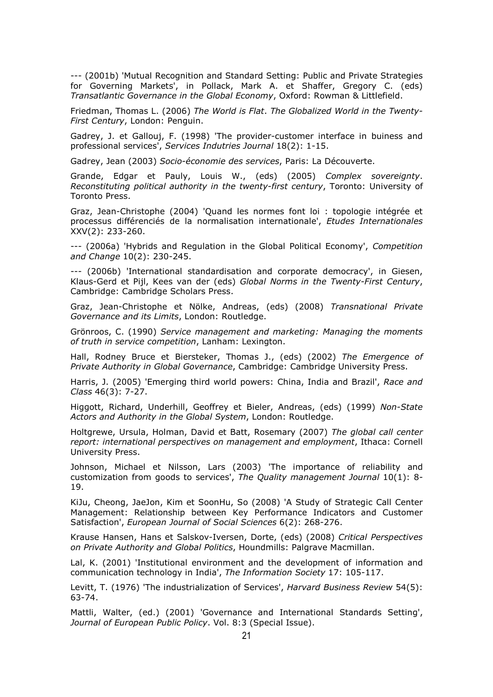--- (2001b) 'Mutual Recognition and Standard Setting: Public and Private Strategies for Governing Markets', in Pollack, Mark A. et Shaffer, Gregory C. (eds) *Transatlantic Governance in the Global Economy*, Oxford: Rowman & Littlefield.

Friedman, Thomas L. (2006) *The World is Flat*. *The Globalized World in the Twenty-First Century*, London: Penguin.

Gadrey, J. et Gallouj, F. (1998) 'The provider-customer interface in buiness and professional services', *Services Indutries Journal* 18(2): 1-15.

Gadrey, Jean (2003) *Socio-économie des services*, Paris: La Découverte.

Grande, Edgar et Pauly, Louis W., (eds) (2005) *Complex sovereignty*. *Reconstituting political authority in the twenty-first century*, Toronto: University of Toronto Press.

Graz, Jean-Christophe (2004) 'Quand les normes font loi : topologie intégrée et processus différenciés de la normalisation internationale', *Etudes Internationales* XXV(2): 233-260.

--- (2006a) 'Hybrids and Regulation in the Global Political Economy', *Competition and Change* 10(2): 230-245.

--- (2006b) 'International standardisation and corporate democracy', in Giesen, Klaus-Gerd et Pijl, Kees van der (eds) *Global Norms in the Twenty-First Century*, Cambridge: Cambridge Scholars Press.

Graz, Jean-Christophe et Nölke, Andreas, (eds) (2008) *Transnational Private Governance and its Limits*, London: Routledge.

Grönroos, C. (1990) *Service management and marketing: Managing the moments of truth in service competition*, Lanham: Lexington.

Hall, Rodney Bruce et Biersteker, Thomas J., (eds) (2002) *The Emergence of Private Authority in Global Governance*, Cambridge: Cambridge University Press.

Harris, J. (2005) 'Emerging third world powers: China, India and Brazil', *Race and Class* 46(3): 7-27.

Higgott, Richard, Underhill, Geoffrey et Bieler, Andreas, (eds) (1999) *Non-State Actors and Authority in the Global System*, London: Routledge.

Holtgrewe, Ursula, Holman, David et Batt, Rosemary (2007) *The global call center report: international perspectives on management and employment*, Ithaca: Cornell University Press.

Johnson, Michael et Nilsson, Lars (2003) 'The importance of reliability and customization from goods to services', *The Quality management Journal* 10(1): 8- 19.

KiJu, Cheong, JaeJon, Kim et SoonHu, So (2008) 'A Study of Strategic Call Center Management: Relationship between Key Performance Indicators and Customer Satisfaction', *European Journal of Social Sciences* 6(2): 268-276.

Krause Hansen, Hans et Salskov-Iversen, Dorte, (eds) (2008) *Critical Perspectives on Private Authority and Global Politics*, Houndmills: Palgrave Macmillan.

Lal, K. (2001) 'Institutional environment and the development of information and communication technology in India', *The Information Society* 17: 105-117.

Levitt, T. (1976) 'The industrialization of Services', *Harvard Business Review* 54(5): 63-74.

Mattli, Walter, (ed.) (2001) 'Governance and International Standards Setting', *Journal of European Public Policy*. Vol. 8:3 (Special Issue).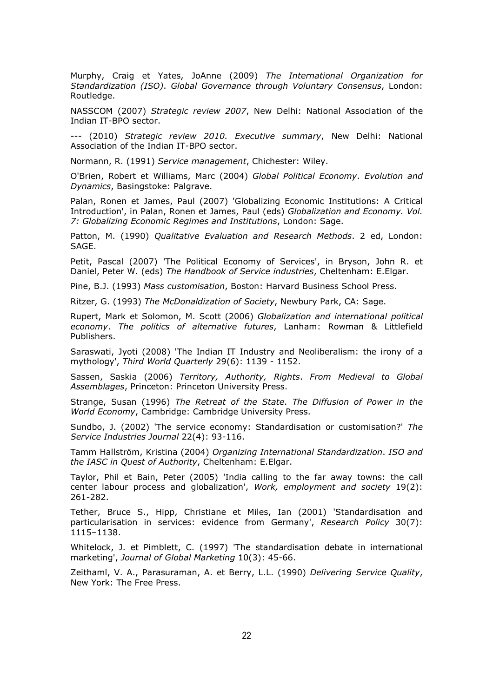Murphy, Craig et Yates, JoAnne (2009) *The International Organization for Standardization (ISO)*. *Global Governance through Voluntary Consensus*, London: Routledge.

NASSCOM (2007) *Strategic review 2007*, New Delhi: National Association of the Indian IT-BPO sector.

--- (2010) *Strategic review 2010. Executive summary*, New Delhi: National Association of the Indian IT-BPO sector.

Normann, R. (1991) *Service management*, Chichester: Wiley.

O'Brien, Robert et Williams, Marc (2004) *Global Political Economy*. *Evolution and Dynamics*, Basingstoke: Palgrave.

Palan, Ronen et James, Paul (2007) 'Globalizing Economic Institutions: A Critical Introduction', in Palan, Ronen et James, Paul (eds) *Globalization and Economy. Vol. 7: Globalizing Economic Regimes and Institutions*, London: Sage.

Patton, M. (1990) *Qualitative Evaluation and Research Methods*. 2 ed, London: SAGE.

Petit, Pascal (2007) 'The Political Economy of Services', in Bryson, John R. et Daniel, Peter W. (eds) *The Handbook of Service industries*, Cheltenham: E.Elgar.

Pine, B.J. (1993) *Mass customisation*, Boston: Harvard Business School Press.

Ritzer, G. (1993) *The McDonaldization of Society*, Newbury Park, CA: Sage.

Rupert, Mark et Solomon, M. Scott (2006) *Globalization and international political economy*. *The politics of alternative futures*, Lanham: Rowman & Littlefield Publishers.

Saraswati, Jyoti (2008) 'The Indian IT Industry and Neoliberalism: the irony of a mythology', *Third World Quarterly* 29(6): 1139 - 1152.

Sassen, Saskia (2006) *Territory, Authority, Rights*. *From Medieval to Global Assemblages*, Princeton: Princeton University Press.

Strange, Susan (1996) *The Retreat of the State*. *The Diffusion of Power in the World Economy*, Cambridge: Cambridge University Press.

Sundbo, J. (2002) 'The service economy: Standardisation or customisation?' *The Service Industries Journal* 22(4): 93-116.

Tamm Hallström, Kristina (2004) *Organizing International Standardization*. *ISO and the IASC in Quest of Authority*, Cheltenham: E.Elgar.

Taylor, Phil et Bain, Peter (2005) 'India calling to the far away towns: the call center labour process and globalization', *Work, employment and society* 19(2): 261-282.

Tether, Bruce S., Hipp, Christiane et Miles, Ian (2001) 'Standardisation and particularisation in services: evidence from Germany', *Research Policy* 30(7): 1115–1138.

Whitelock, J. et Pimblett, C. (1997) 'The standardisation debate in international marketing', *Journal of Global Marketing* 10(3): 45-66.

Zeithaml, V. A., Parasuraman, A. et Berry, L.L. (1990) *Delivering Service Quality*, New York: The Free Press.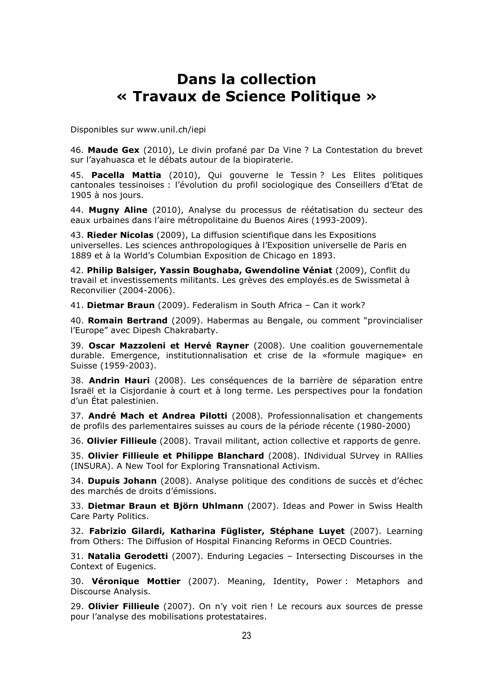# **Dans la collection « Travaux de Science Politique »**

Disponibles sur www.unil.ch/iepi

46. **Maude Gex** (2010), Le divin profané par Da Vine ? La Contestation du brevet sur l'ayahuasca et le débats autour de la biopiraterie.

45. **Pacella Mattia** (2010), Qui gouverne le Tessin ? Les Elites politiques cantonales tessinoises : l'évolution du profil sociologique des Conseillers d'Etat de 1905 à nos jours.

44. **Mugny Aline** (2010), Analyse du processus de réétatisation du secteur des eaux urbaines dans l'aire métropolitaine du Buenos Aires (1993-2009).

43. **Rieder Nicolas** (2009), La diffusion scientifique dans les Expositions universelles. Les sciences anthropologiques à l'Exposition universelle de Paris en 1889 et à la World's Columbian Exposition de Chicago en 1893.

42. **Philip Balsiger, Yassin Boughaba, Gwendoline Véniat** (2009), Conflit du travail et investissements militants. Les grèves des employés.es de Swissmetal à Reconvilier (2004-2006).

41. **Dietmar Braun** (2009). Federalism in South Africa – Can it work?

40. **Romain Bertrand** (2009). Habermas au Bengale, ou comment "provincialiser l'Europe" avec Dipesh Chakrabarty.

39. **Oscar Mazzoleni et Hervé Rayner** (2008). Une coalition gouvernementale durable. Emergence, institutionnalisation et crise de la «formule magique» en Suisse (1959-2003).

38. **Andrin Hauri** (2008). Les conséquences de la barrière de séparation entre Israël et la Cisjordanie à court et à long terme. Les perspectives pour la fondation d'un État palestinien.

37. **André Mach et Andrea Pilotti** (2008). Professionnalisation et changements de profils des parlementaires suisses au cours de la période récente (1980-2000)

36. **Olivier Fillieule** (2008). Travail militant, action collective et rapports de genre.

35. **Olivier Fillieule et Philippe Blanchard** (2008). INdividual SUrvey in RAllies (INSURA). A New Tool for Exploring Transnational Activism.

34. **Dupuis Johann** (2008). Analyse politique des conditions de succès et d'échec des marchés de droits d'émissions.

33. **Dietmar Braun et Björn Uhlmann** (2007). Ideas and Power in Swiss Health Care Party Politics.

32. **Fabrizio Gilardi, Katharina Füglister, Stéphane Luyet** (2007). Learning from Others: The Diffusion of Hospital Financing Reforms in OECD Countries.

31. **Natalia Gerodetti** (2007). Enduring Legacies – Intersecting Discourses in the Context of Eugenics.

30. **Véronique Mottier** (2007). Meaning, Identity, Power : Metaphors and Discourse Analysis.

29. **Olivier Fillieule** (2007). On n'y voit rien ! Le recours aux sources de presse pour l'analyse des mobilisations protestataires.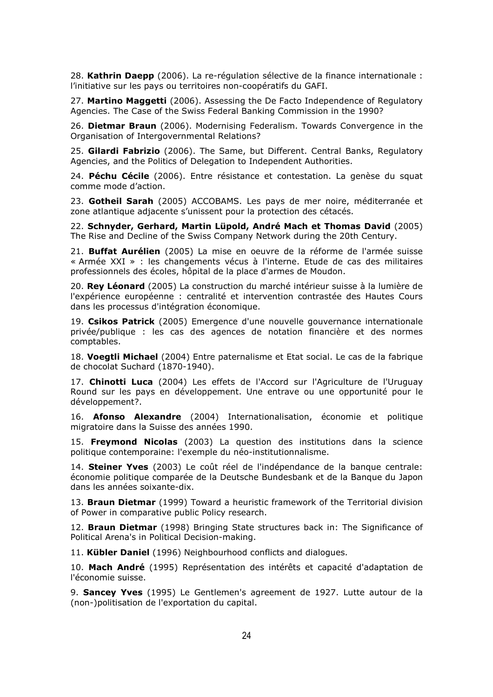28. **Kathrin Daepp** (2006). La re-régulation sélective de la finance internationale : l'initiative sur les pays ou territoires non-coopératifs du GAFI.

27. **Martino Maggetti** (2006). Assessing the De Facto Independence of Regulatory Agencies. The Case of the Swiss Federal Banking Commission in the 1990?

26. **Dietmar Braun** (2006). Modernising Federalism. Towards Convergence in the Organisation of Intergovernmental Relations?

25. **Gilardi Fabrizio** (2006). The Same, but Different. Central Banks, Regulatory Agencies, and the Politics of Delegation to Independent Authorities.

24. **Péchu Cécile** (2006). Entre résistance et contestation. La genèse du squat comme mode d'action.

23. **Gotheil Sarah** (2005) ACCOBAMS. Les pays de mer noire, méditerranée et zone atlantique adjacente s'unissent pour la protection des cétacés.

22. **Schnyder, Gerhard, Martin Lüpold, André Mach et Thomas David** (2005) The Rise and Decline of the Swiss Company Network during the 20th Century.

21. **Buffat Aurélien** (2005) La mise en oeuvre de la réforme de l'armée suisse « Armée XXI » : les changements vécus à l'interne. Etude de cas des militaires professionnels des écoles, hôpital de la place d'armes de Moudon.

20. **Rey Léonard** (2005) La construction du marché intérieur suisse à la lumière de l'expérience européenne : centralité et intervention contrastée des Hautes Cours dans les processus d'intégration économique.

19. **Csikos Patrick** (2005) Emergence d'une nouvelle gouvernance internationale privée/publique : les cas des agences de notation financière et des normes comptables.

18. **Voegtli Michael** (2004) Entre paternalisme et Etat social. Le cas de la fabrique de chocolat Suchard (1870-1940).

17. **Chinotti Luca** (2004) Les effets de l'Accord sur l'Agriculture de l'Uruguay Round sur les pays en développement. Une entrave ou une opportunité pour le développement?.

16. **Afonso Alexandre** (2004) Internationalisation, économie et politique migratoire dans la Suisse des années 1990.

15. **Freymond Nicolas** (2003) La question des institutions dans la science politique contemporaine: l'exemple du néo-institutionnalisme.

14. **Steiner Yves** (2003) Le coût réel de l'indépendance de la banque centrale: économie politique comparée de la Deutsche Bundesbank et de la Banque du Japon dans les années soixante-dix.

13. **Braun Dietmar** (1999) Toward a heuristic framework of the Territorial division of Power in comparative public Policy research.

12. **Braun Dietmar** (1998) Bringing State structures back in: The Significance of Political Arena's in Political Decision-making.

11. **Kübler Daniel** (1996) Neighbourhood conflicts and dialogues.

10. **Mach André** (1995) Représentation des intérêts et capacité d'adaptation de l'économie suisse.

9. **Sancey Yves** (1995) Le Gentlemen's agreement de 1927. Lutte autour de la (non-)politisation de l'exportation du capital.